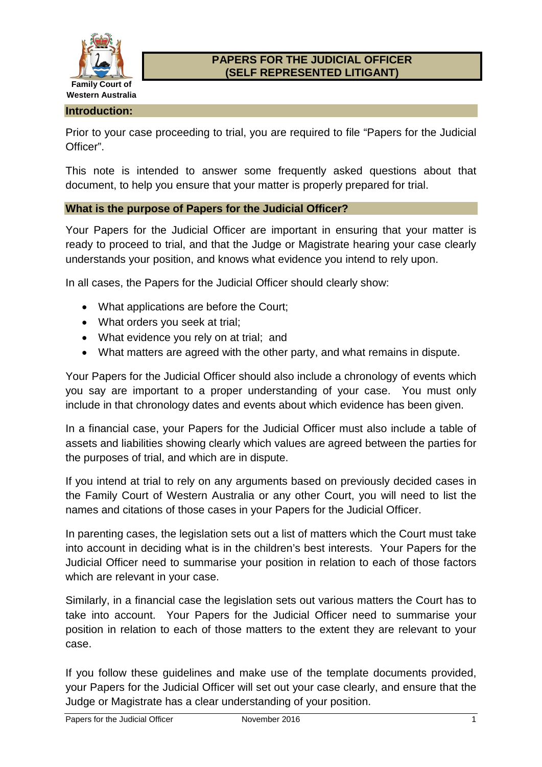

# **PAPERS FOR THE JUDICIAL OFFICER (SELF REPRESENTED LITIGANT)**

#### **Introduction:**

Prior to your case proceeding to trial, you are required to file "Papers for the Judicial Officer".

This note is intended to answer some frequently asked questions about that document, to help you ensure that your matter is properly prepared for trial.

#### **What is the purpose of Papers for the Judicial Officer?**

Your Papers for the Judicial Officer are important in ensuring that your matter is ready to proceed to trial, and that the Judge or Magistrate hearing your case clearly understands your position, and knows what evidence you intend to rely upon.

In all cases, the Papers for the Judicial Officer should clearly show:

- What applications are before the Court;
- What orders you seek at trial;
- What evidence you rely on at trial; and
- What matters are agreed with the other party, and what remains in dispute.

Your Papers for the Judicial Officer should also include a chronology of events which you say are important to a proper understanding of your case. You must only include in that chronology dates and events about which evidence has been given.

In a financial case, your Papers for the Judicial Officer must also include a table of assets and liabilities showing clearly which values are agreed between the parties for the purposes of trial, and which are in dispute.

If you intend at trial to rely on any arguments based on previously decided cases in the Family Court of Western Australia or any other Court, you will need to list the names and citations of those cases in your Papers for the Judicial Officer.

In parenting cases, the legislation sets out a list of matters which the Court must take into account in deciding what is in the children's best interests. Your Papers for the Judicial Officer need to summarise your position in relation to each of those factors which are relevant in your case.

Similarly, in a financial case the legislation sets out various matters the Court has to take into account. Your Papers for the Judicial Officer need to summarise your position in relation to each of those matters to the extent they are relevant to your case.

If you follow these guidelines and make use of the template documents provided, your Papers for the Judicial Officer will set out your case clearly, and ensure that the Judge or Magistrate has a clear understanding of your position.